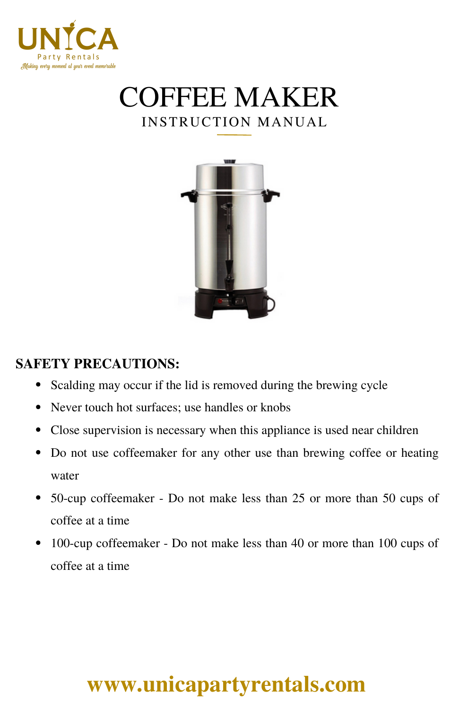





### **SAFETY PRECAUTIONS:**

- Scalding may occur if the lid is removed during the brewing cycle  $\bullet$
- Never touch hot surfaces; use handles or knobs
- Close supervision is necessary when this appliance is used near children
- Do not use coffeemaker for any other use than brewing coffee or heating water
- 50-cup coffeemaker Do not make less than 25 or more than 50 cups of coffee at a time
- 100-cup coffeemaker Do not make less than 40 or more than 100 cups of coffee at a time

# **[www.unicapartyrentals.com](https://www.unicapartyrentals.com/contact)**